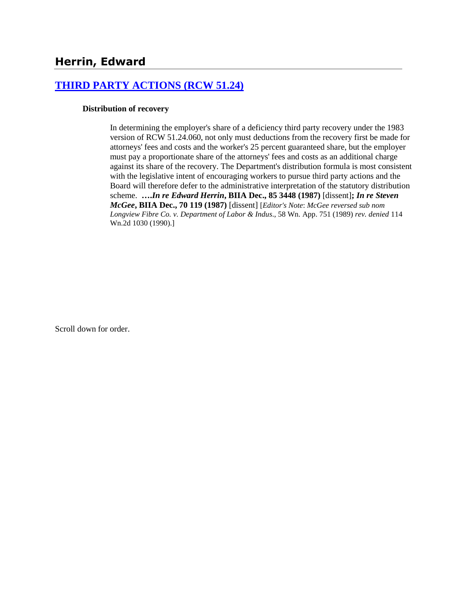## **[THIRD PARTY ACTIONS \(RCW 51.24\)](http://www.biia.wa.gov/SDSubjectIndex.html#THIRD_PARTY_ACTIONS)**

#### **Distribution of recovery**

In determining the employer's share of a deficiency third party recovery under the 1983 version of RCW 51.24.060, not only must deductions from the recovery first be made for attorneys' fees and costs and the worker's 25 percent guaranteed share, but the employer must pay a proportionate share of the attorneys' fees and costs as an additional charge against its share of the recovery. The Department's distribution formula is most consistent with the legislative intent of encouraging workers to pursue third party actions and the Board will therefore defer to the administrative interpretation of the statutory distribution scheme. **….***In re Edward Herrin***, BIIA Dec., 85 3448 (1987)** [dissent]**;** *In re Steven McGee***, BIIA Dec., 70 119 (1987)** [dissent] [*Editor's Note*: *McGee reversed sub nom Longview Fibre Co. v. Department of Labor & Indus*., 58 Wn. App. 751 (1989) *rev. denied* 114 Wn.2d 1030 (1990).]

Scroll down for order.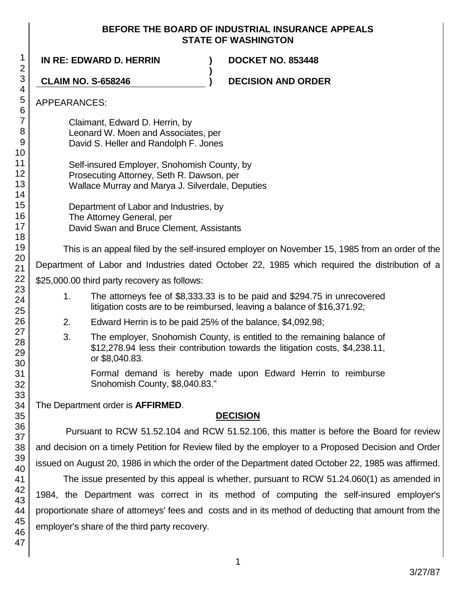### **BEFORE THE BOARD OF INDUSTRIAL INSURANCE APPEALS STATE OF WASHINGTON**

**)**

**IN RE: EDWARD D. HERRIN ) DOCKET NO. 853448**

**CLAIM NO. S-658246 ) DECISION AND ORDER**

## APPEARANCES:

Claimant, Edward D. Herrin, by Leonard W. Moen and Associates, per David S. Heller and Randolph F. Jones

Self-insured Employer, Snohomish County, by Prosecuting Attorney, Seth R. Dawson, per Wallace Murray and Marya J. Silverdale, Deputies

Department of Labor and Industries, by The Attorney General, per David Swan and Bruce Clement, Assistants

This is an appeal filed by the self-insured employer on November 15, 1985 from an order of the

Department of Labor and Industries dated October 22, 1985 which required the distribution of a

\$25,000.00 third party recovery as follows:

- 1. The attorneys fee of \$8,333.33 is to be paid and \$294.75 in unrecovered litigation costs are to be reimbursed, leaving a balance of \$16,371.92;
- 2. Edward Herrin is to be paid 25% of the balance, \$4,092.98;
- 3. The employer, Snohomish County, is entitled to the remaining balance of \$12,278.94 less their contribution towards the litigation costs, \$4,238.11, or \$8,040.83.

Formal demand is hereby made upon Edward Herrin to reimburse Snohomish County, \$8,040.83."

The Department order is **AFFIRMED**.

# **DECISION**

Pursuant to RCW 51.52.104 and RCW 51.52.106, this matter is before the Board for review and decision on a timely Petition for Review filed by the employer to a Proposed Decision and Order issued on August 20, 1986 in which the order of the Department dated October 22, 1985 was affirmed.

The issue presented by this appeal is whether, pursuant to RCW 51.24.060(1) as amended in 1984, the Department was correct in its method of computing the self-insured employer's proportionate share of attorneys' fees and costs and in its method of deducting that amount from the employer's share of the third party recovery.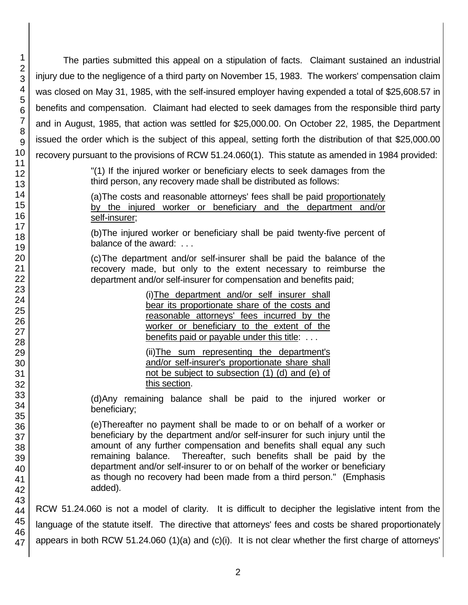The parties submitted this appeal on a stipulation of facts. Claimant sustained an industrial injury due to the negligence of a third party on November 15, 1983. The workers' compensation claim was closed on May 31, 1985, with the self-insured employer having expended a total of \$25,608.57 in benefits and compensation. Claimant had elected to seek damages from the responsible third party and in August, 1985, that action was settled for \$25,000.00. On October 22, 1985, the Department issued the order which is the subject of this appeal, setting forth the distribution of that \$25,000.00 recovery pursuant to the provisions of RCW 51.24.060(1). This statute as amended in 1984 provided:

> "(1) If the injured worker or beneficiary elects to seek damages from the third person, any recovery made shall be distributed as follows:

> (a)The costs and reasonable attorneys' fees shall be paid proportionately by the injured worker or beneficiary and the department and/or self-insurer;

> (b)The injured worker or beneficiary shall be paid twenty-five percent of balance of the award: ...

> (c)The department and/or self-insurer shall be paid the balance of the recovery made, but only to the extent necessary to reimburse the department and/or self-insurer for compensation and benefits paid;

> > (i)The department and/or self insurer shall bear its proportionate share of the costs and reasonable attorneys' fees incurred by the worker or beneficiary to the extent of the benefits paid or payable under this title: . . .

> > (ii)The sum representing the department's and/or self-insurer's proportionate share shall not be subject to subsection (1) (d) and (e) of this section.

(d)Any remaining balance shall be paid to the injured worker or beneficiary;

(e)Thereafter no payment shall be made to or on behalf of a worker or beneficiary by the department and/or self-insurer for such injury until the amount of any further compensation and benefits shall equal any such remaining balance. Thereafter, such benefits shall be paid by the department and/or self-insurer to or on behalf of the worker or beneficiary as though no recovery had been made from a third person." (Emphasis added).

RCW 51.24.060 is not a model of clarity. It is difficult to decipher the legislative intent from the language of the statute itself. The directive that attorneys' fees and costs be shared proportionately appears in both RCW 51.24.060 (1)(a) and (c)(i). It is not clear whether the first charge of attorneys'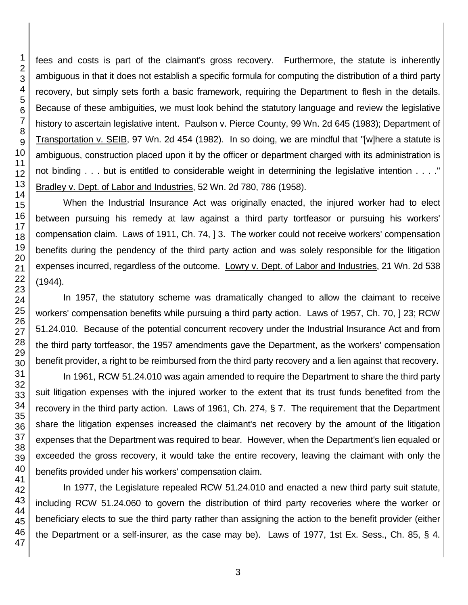fees and costs is part of the claimant's gross recovery. Furthermore, the statute is inherently ambiguous in that it does not establish a specific formula for computing the distribution of a third party recovery, but simply sets forth a basic framework, requiring the Department to flesh in the details. Because of these ambiguities, we must look behind the statutory language and review the legislative history to ascertain legislative intent. Paulson v. Pierce County, 99 Wn. 2d 645 (1983); Department of Transportation v. SEIB, 97 Wn. 2d 454 (1982). In so doing, we are mindful that "[w]here a statute is ambiguous, construction placed upon it by the officer or department charged with its administration is not binding . . . but is entitled to considerable weight in determining the legislative intention . . . ." Bradley v. Dept. of Labor and Industries, 52 Wn. 2d 780, 786 (1958).

When the Industrial Insurance Act was originally enacted, the injured worker had to elect between pursuing his remedy at law against a third party tortfeasor or pursuing his workers' compensation claim. Laws of 1911, Ch. 74, ] 3. The worker could not receive workers' compensation benefits during the pendency of the third party action and was solely responsible for the litigation expenses incurred, regardless of the outcome. Lowry v. Dept. of Labor and Industries, 21 Wn. 2d 538 (1944).

In 1957, the statutory scheme was dramatically changed to allow the claimant to receive workers' compensation benefits while pursuing a third party action. Laws of 1957, Ch. 70, ] 23; RCW 51.24.010. Because of the potential concurrent recovery under the Industrial Insurance Act and from the third party tortfeasor, the 1957 amendments gave the Department, as the workers' compensation benefit provider, a right to be reimbursed from the third party recovery and a lien against that recovery.

In 1961, RCW 51.24.010 was again amended to require the Department to share the third party suit litigation expenses with the injured worker to the extent that its trust funds benefited from the recovery in the third party action. Laws of 1961, Ch. 274, § 7. The requirement that the Department share the litigation expenses increased the claimant's net recovery by the amount of the litigation expenses that the Department was required to bear. However, when the Department's lien equaled or exceeded the gross recovery, it would take the entire recovery, leaving the claimant with only the benefits provided under his workers' compensation claim.

In 1977, the Legislature repealed RCW 51.24.010 and enacted a new third party suit statute, including RCW 51.24.060 to govern the distribution of third party recoveries where the worker or beneficiary elects to sue the third party rather than assigning the action to the benefit provider (either the Department or a self-insurer, as the case may be). Laws of 1977, 1st Ex. Sess., Ch. 85, § 4.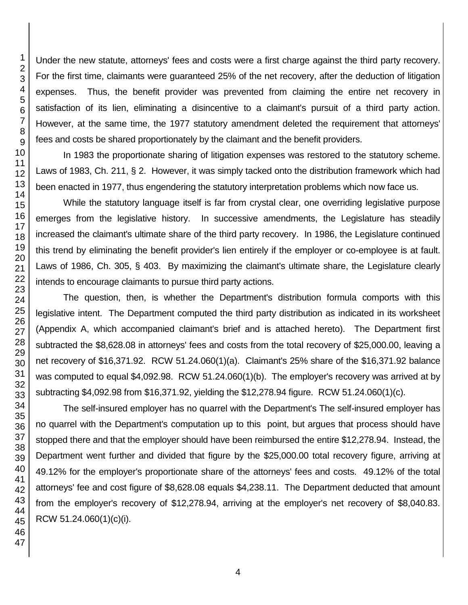Under the new statute, attorneys' fees and costs were a first charge against the third party recovery. For the first time, claimants were guaranteed 25% of the net recovery, after the deduction of litigation expenses. Thus, the benefit provider was prevented from claiming the entire net recovery in satisfaction of its lien, eliminating a disincentive to a claimant's pursuit of a third party action. However, at the same time, the 1977 statutory amendment deleted the requirement that attorneys' fees and costs be shared proportionately by the claimant and the benefit providers.

In 1983 the proportionate sharing of litigation expenses was restored to the statutory scheme. Laws of 1983, Ch. 211, § 2. However, it was simply tacked onto the distribution framework which had been enacted in 1977, thus engendering the statutory interpretation problems which now face us.

While the statutory language itself is far from crystal clear, one overriding legislative purpose emerges from the legislative history. In successive amendments, the Legislature has steadily increased the claimant's ultimate share of the third party recovery. In 1986, the Legislature continued this trend by eliminating the benefit provider's lien entirely if the employer or co-employee is at fault. Laws of 1986, Ch. 305, § 403. By maximizing the claimant's ultimate share, the Legislature clearly intends to encourage claimants to pursue third party actions.

The question, then, is whether the Department's distribution formula comports with this legislative intent. The Department computed the third party distribution as indicated in its worksheet (Appendix A, which accompanied claimant's brief and is attached hereto). The Department first subtracted the \$8,628.08 in attorneys' fees and costs from the total recovery of \$25,000.00, leaving a net recovery of \$16,371.92. RCW 51.24.060(1)(a). Claimant's 25% share of the \$16,371.92 balance was computed to equal \$4,092.98. RCW 51.24.060(1)(b). The employer's recovery was arrived at by subtracting \$4,092.98 from \$16,371.92, yielding the \$12,278.94 figure. RCW 51.24.060(1)(c).

The self-insured employer has no quarrel with the Department's The self-insured employer has no quarrel with the Department's computation up to this point, but argues that process should have stopped there and that the employer should have been reimbursed the entire \$12,278.94. Instead, the Department went further and divided that figure by the \$25,000.00 total recovery figure, arriving at 49.12% for the employer's proportionate share of the attorneys' fees and costs. 49.12% of the total attorneys' fee and cost figure of \$8,628.08 equals \$4,238.11. The Department deducted that amount from the employer's recovery of \$12,278.94, arriving at the employer's net recovery of \$8,040.83. RCW 51.24.060(1)(c)(i).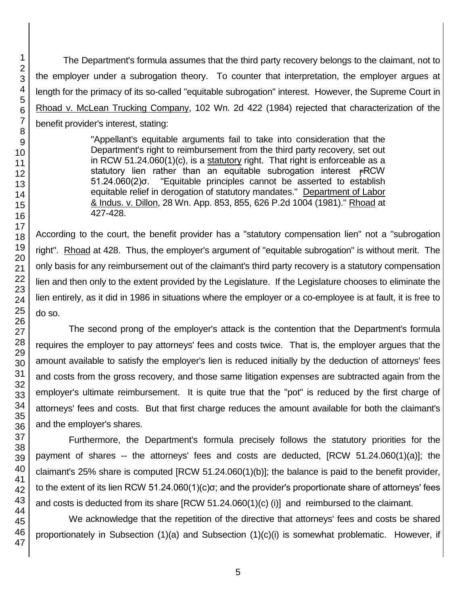The Department's formula assumes that the third party recovery belongs to the claimant, not to the employer under a subrogation theory. To counter that interpretation, the employer argues at length for the primacy of its so-called "equitable subrogation" interest. However, the Supreme Court in Rhoad v. McLean Trucking Company, 102 Wn. 2d 422 (1984) rejected that characterization of the benefit provider's interest, stating:

> "Appellant's equitable arguments fail to take into consideration that the Department's right to reimbursement from the third party recovery, set out in RCW 51.24.060(1)(c), is a statutory right. That right is enforceable as a statutory lien rather than an equitable subrogation interest FRCW 51.24.060(2)σ. "Equitable principles cannot be asserted to establish equitable relief in derogation of statutory mandates." Department of Labor & Indus. v. Dillon, 28 Wn. App. 853, 855, 626 P.2d 1004 (1981)." Rhoad at 427-428.

According to the court, the benefit provider has a "statutory compensation lien" not a "subrogation right". Rhoad at 428. Thus, the employer's argument of "equitable subrogation" is without merit. The only basis for any reimbursement out of the claimant's third party recovery is a statutory compensation lien and then only to the extent provided by the Legislature. If the Legislature chooses to eliminate the lien entirely, as it did in 1986 in situations where the employer or a co-employee is at fault, it is free to do so.

The second prong of the employer's attack is the contention that the Department's formula requires the employer to pay attorneys' fees and costs twice. That is, the employer argues that the amount available to satisfy the employer's lien is reduced initially by the deduction of attorneys' fees and costs from the gross recovery, and those same litigation expenses are subtracted again from the employer's ultimate reimbursement. It is quite true that the "pot" is reduced by the first charge of attorneys' fees and costs. But that first charge reduces the amount available for both the claimant's and the employer's shares.

Furthermore, the Department's formula precisely follows the statutory priorities for the payment of shares -- the attorneys' fees and costs are deducted, [RCW 51.24.060(1)(a)]; the claimant's 25% share is computed [RCW 51.24.060(1)(b)]; the balance is paid to the benefit provider, to the extent of its lien RCW 51.24.060(1)(c)σ; and the provider's proportionate share of attorneys' fees and costs is deducted from its share [RCW 51.24.060(1)(c) (i)] and reimbursed to the claimant.

We acknowledge that the repetition of the directive that attorneys' fees and costs be shared proportionately in Subsection (1)(a) and Subsection (1)(c)(i) is somewhat problematic. However, if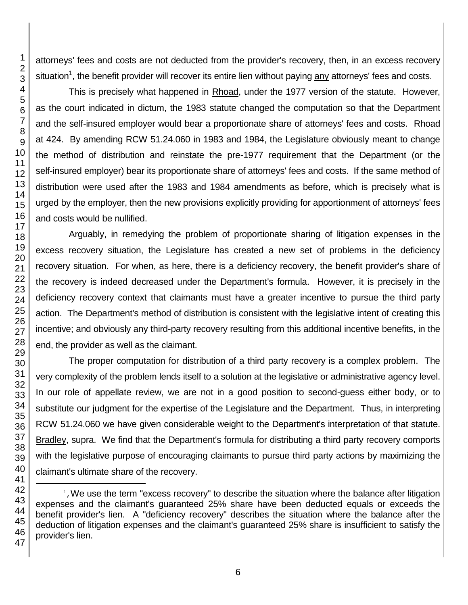attorneys' fees and costs are not deducted from the provider's recovery, then, in an excess recovery situation<sup>1</sup>, the benefit provider will recover its entire lien without paying <u>any</u> attorneys' fees and costs.

This is precisely what happened in Rhoad, under the 1977 version of the statute. However, as the court indicated in dictum, the 1983 statute changed the computation so that the Department and the self-insured employer would bear a proportionate share of attorneys' fees and costs. Rhoad at 424. By amending RCW 51.24.060 in 1983 and 1984, the Legislature obviously meant to change the method of distribution and reinstate the pre-1977 requirement that the Department (or the self-insured employer) bear its proportionate share of attorneys' fees and costs. If the same method of distribution were used after the 1983 and 1984 amendments as before, which is precisely what is urged by the employer, then the new provisions explicitly providing for apportionment of attorneys' fees and costs would be nullified.

Arguably, in remedying the problem of proportionate sharing of litigation expenses in the excess recovery situation, the Legislature has created a new set of problems in the deficiency recovery situation. For when, as here, there is a deficiency recovery, the benefit provider's share of the recovery is indeed decreased under the Department's formula. However, it is precisely in the deficiency recovery context that claimants must have a greater incentive to pursue the third party action. The Department's method of distribution is consistent with the legislative intent of creating this incentive; and obviously any third-party recovery resulting from this additional incentive benefits, in the end, the provider as well as the claimant.

The proper computation for distribution of a third party recovery is a complex problem. The very complexity of the problem lends itself to a solution at the legislative or administrative agency level. In our role of appellate review, we are not in a good position to second-guess either body, or to substitute our judgment for the expertise of the Legislature and the Department. Thus, in interpreting RCW 51.24.060 we have given considerable weight to the Department's interpretation of that statute. Bradley, supra. We find that the Department's formula for distributing a third party recovery comports with the legislative purpose of encouraging claimants to pursue third party actions by maximizing the claimant's ultimate share of the recovery.

l

<sup>&</sup>lt;sup>1</sup>, We use the term "excess recovery" to describe the situation where the balance after litigation expenses and the claimant's guaranteed 25% share have been deducted equals or exceeds the benefit provider's lien. A "deficiency recovery" describes the situation where the balance after the deduction of litigation expenses and the claimant's guaranteed 25% share is insufficient to satisfy the provider's lien.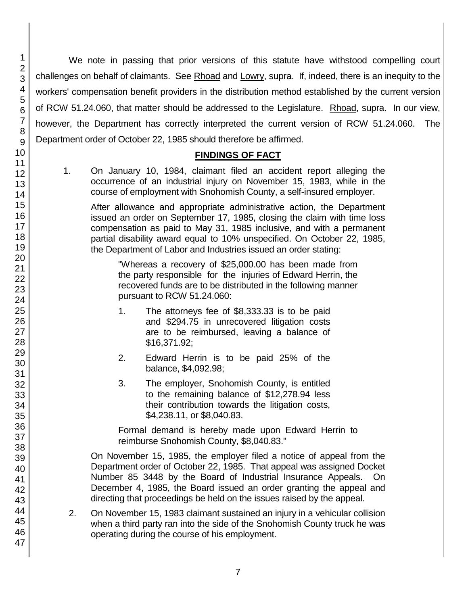We note in passing that prior versions of this statute have withstood compelling court challenges on behalf of claimants. See Rhoad and Lowry, supra. If, indeed, there is an inequity to the workers' compensation benefit providers in the distribution method established by the current version of RCW 51.24.060, that matter should be addressed to the Legislature. Rhoad, supra. In our view, however, the Department has correctly interpreted the current version of RCW 51.24.060. The Department order of October 22, 1985 should therefore be affirmed.

## **FINDINGS OF FACT**

1. On January 10, 1984, claimant filed an accident report alleging the occurrence of an industrial injury on November 15, 1983, while in the course of employment with Snohomish County, a self-insured employer.

After allowance and appropriate administrative action, the Department issued an order on September 17, 1985, closing the claim with time loss compensation as paid to May 31, 1985 inclusive, and with a permanent partial disability award equal to 10% unspecified. On October 22, 1985, the Department of Labor and Industries issued an order stating:

"Whereas a recovery of \$25,000.00 has been made from the party responsible for the injuries of Edward Herrin, the recovered funds are to be distributed in the following manner pursuant to RCW 51.24.060:

- 1. The attorneys fee of \$8,333.33 is to be paid and \$294.75 in unrecovered litigation costs are to be reimbursed, leaving a balance of \$16,371.92;
- 2. Edward Herrin is to be paid 25% of the balance, \$4,092.98;
- 3. The employer, Snohomish County, is entitled to the remaining balance of \$12,278.94 less their contribution towards the litigation costs, \$4,238.11, or \$8,040.83.

Formal demand is hereby made upon Edward Herrin to reimburse Snohomish County, \$8,040.83."

On November 15, 1985, the employer filed a notice of appeal from the Department order of October 22, 1985. That appeal was assigned Docket Number 85 3448 by the Board of Industrial Insurance Appeals. On December 4, 1985, the Board issued an order granting the appeal and directing that proceedings be held on the issues raised by the appeal.

2. On November 15, 1983 claimant sustained an injury in a vehicular collision when a third party ran into the side of the Snohomish County truck he was operating during the course of his employment.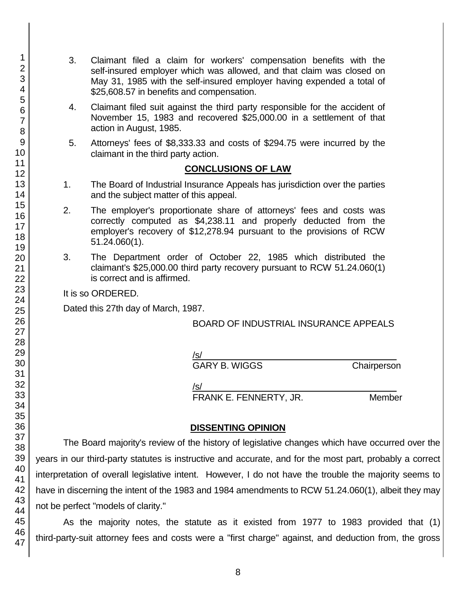- 3. Claimant filed a claim for workers' compensation benefits with the self-insured employer which was allowed, and that claim was closed on May 31, 1985 with the self-insured employer having expended a total of \$25,608.57 in benefits and compensation.
- 4. Claimant filed suit against the third party responsible for the accident of November 15, 1983 and recovered \$25,000.00 in a settlement of that action in August, 1985.
- 5. Attorneys' fees of \$8,333.33 and costs of \$294.75 were incurred by the claimant in the third party action.

#### **CONCLUSIONS OF LAW**

- 1. The Board of Industrial Insurance Appeals has jurisdiction over the parties and the subject matter of this appeal.
- 2. The employer's proportionate share of attorneys' fees and costs was correctly computed as \$4,238.11 and properly deducted from the employer's recovery of \$12,278.94 pursuant to the provisions of RCW 51.24.060(1).
- 3. The Department order of October 22, 1985 which distributed the claimant's \$25,000.00 third party recovery pursuant to RCW 51.24.060(1) is correct and is affirmed.

It is so ORDERED.

Dated this 27th day of March, 1987.

## BOARD OF INDUSTRIAL INSURANCE APPEALS

/s/  $\,$ 

GARY B. WIGGS Chairperson

/s/\_\_\_\_\_\_\_\_\_\_\_\_\_\_\_\_\_\_\_\_\_\_\_\_\_\_\_\_\_\_\_\_\_\_\_\_\_\_\_ FRANK E. FENNERTY, JR. Member

# **DISSENTING OPINION**

The Board majority's review of the history of legislative changes which have occurred over the years in our third-party statutes is instructive and accurate, and for the most part, probably a correct interpretation of overall legislative intent. However, I do not have the trouble the majority seems to have in discerning the intent of the 1983 and 1984 amendments to RCW 51.24.060(1), albeit they may not be perfect "models of clarity."

As the majority notes, the statute as it existed from 1977 to 1983 provided that (1) third-party-suit attorney fees and costs were a "first charge" against, and deduction from, the gross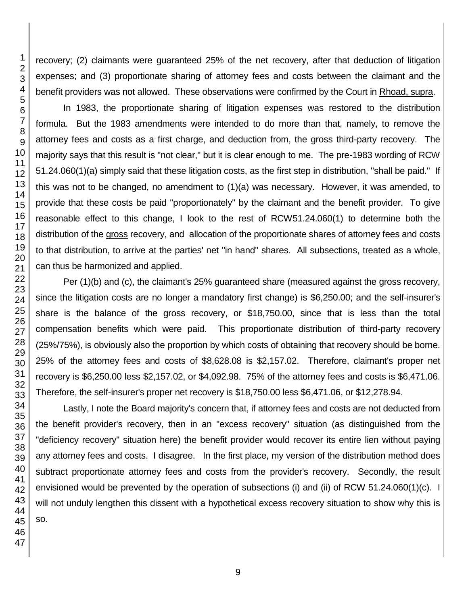recovery; (2) claimants were guaranteed 25% of the net recovery, after that deduction of litigation expenses; and (3) proportionate sharing of attorney fees and costs between the claimant and the benefit providers was not allowed. These observations were confirmed by the Court in Rhoad, supra. In 1983, the proportionate sharing of litigation expenses was restored to the distribution

formula. But the 1983 amendments were intended to do more than that, namely, to remove the attorney fees and costs as a first charge, and deduction from, the gross third-party recovery. The majority says that this result is "not clear," but it is clear enough to me. The pre-1983 wording of RCW 51.24.060(1)(a) simply said that these litigation costs, as the first step in distribution, "shall be paid." If this was not to be changed, no amendment to (1)(a) was necessary. However, it was amended, to provide that these costs be paid "proportionately" by the claimant and the benefit provider. To give reasonable effect to this change, I look to the rest of RCW51.24.060(1) to determine both the distribution of the gross recovery, and allocation of the proportionate shares of attorney fees and costs to that distribution, to arrive at the parties' net "in hand" shares. All subsections, treated as a whole, can thus be harmonized and applied.

Per (1)(b) and (c), the claimant's 25% guaranteed share (measured against the gross recovery, since the litigation costs are no longer a mandatory first change) is \$6,250.00; and the self-insurer's share is the balance of the gross recovery, or \$18,750.00, since that is less than the total compensation benefits which were paid. This proportionate distribution of third-party recovery (25%/75%), is obviously also the proportion by which costs of obtaining that recovery should be borne. 25% of the attorney fees and costs of \$8,628.08 is \$2,157.02. Therefore, claimant's proper net recovery is \$6,250.00 less \$2,157.02, or \$4,092.98. 75% of the attorney fees and costs is \$6,471.06. Therefore, the self-insurer's proper net recovery is \$18,750.00 less \$6,471.06, or \$12,278.94.

Lastly, I note the Board majority's concern that, if attorney fees and costs are not deducted from the benefit provider's recovery, then in an "excess recovery" situation (as distinguished from the "deficiency recovery" situation here) the benefit provider would recover its entire lien without paying any attorney fees and costs. I disagree. In the first place, my version of the distribution method does subtract proportionate attorney fees and costs from the provider's recovery. Secondly, the result envisioned would be prevented by the operation of subsections (i) and (ii) of RCW 51.24.060(1)(c). I will not unduly lengthen this dissent with a hypothetical excess recovery situation to show why this is so.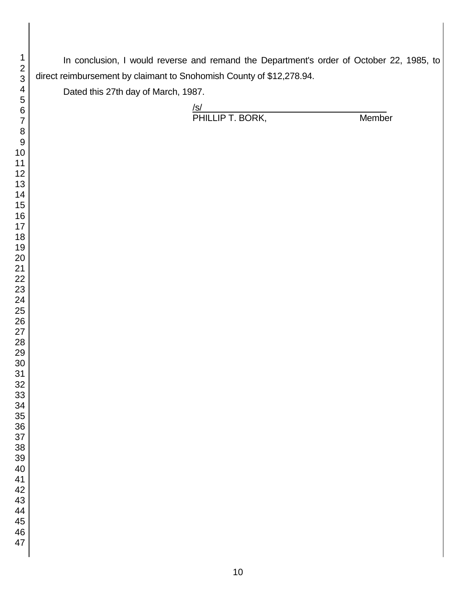In conclusion, I would reverse and remand the Department's order of October 22, 1985, to direct reimbursement by claimant to Snohomish County of \$12,278.94.

Dated this 27th day of March, 1987.

| $\sqrt{s}$       |               |
|------------------|---------------|
| PHILLIP T. BORK, | <b>Member</b> |